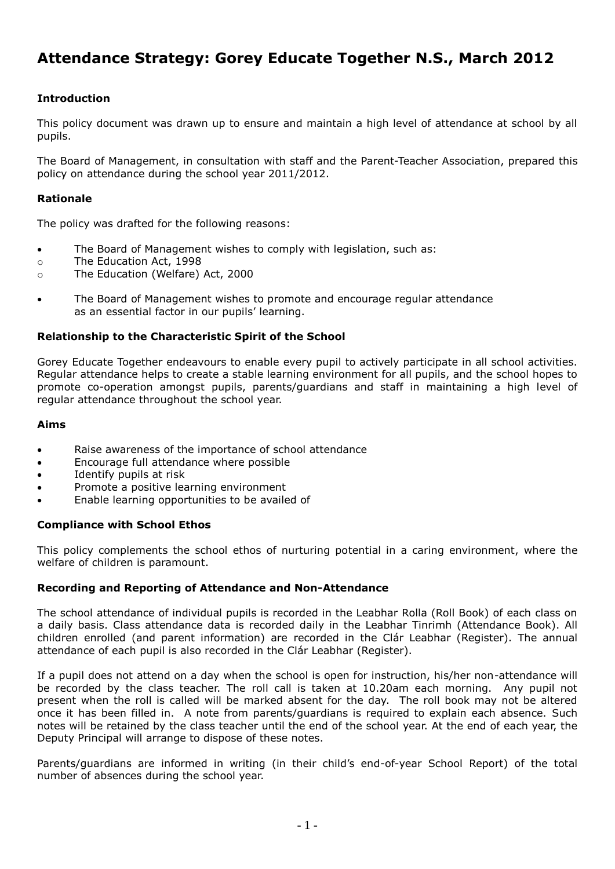# **Attendance Strategy: Gorey Educate Together N.S., March 2012**

# **Introduction**

This policy document was drawn up to ensure and maintain a high level of attendance at school by all pupils.

The Board of Management, in consultation with staff and the Parent-Teacher Association, prepared this policy on attendance during the school year 2011/2012.

# **Rationale**

The policy was drafted for the following reasons:

- The Board of Management wishes to comply with legislation, such as:
- o The Education Act, 1998
- o The Education (Welfare) Act, 2000
- The Board of Management wishes to promote and encourage regular attendance as an essential factor in our pupils' learning.

# **Relationship to the Characteristic Spirit of the School**

Gorey Educate Together endeavours to enable every pupil to actively participate in all school activities. Regular attendance helps to create a stable learning environment for all pupils, and the school hopes to promote co-operation amongst pupils, parents/guardians and staff in maintaining a high level of regular attendance throughout the school year.

# **Aims**

- Raise awareness of the importance of school attendance
- Encourage full attendance where possible
- Identify pupils at risk
- Promote a positive learning environment
- Enable learning opportunities to be availed of

#### **Compliance with School Ethos**

This policy complements the school ethos of nurturing potential in a caring environment, where the welfare of children is paramount.

#### **Recording and Reporting of Attendance and Non-Attendance**

The school attendance of individual pupils is recorded in the Leabhar Rolla (Roll Book) of each class on a daily basis. Class attendance data is recorded daily in the Leabhar Tinrimh (Attendance Book). All children enrolled (and parent information) are recorded in the Clár Leabhar (Register). The annual attendance of each pupil is also recorded in the Clár Leabhar (Register).

If a pupil does not attend on a day when the school is open for instruction, his/her non-attendance will be recorded by the class teacher. The roll call is taken at 10.20am each morning. Any pupil not present when the roll is called will be marked absent for the day. The roll book may not be altered once it has been filled in. A note from parents/guardians is required to explain each absence. Such notes will be retained by the class teacher until the end of the school year. At the end of each year, the Deputy Principal will arrange to dispose of these notes.

Parents/guardians are informed in writing (in their child's end-of-year School Report) of the total number of absences during the school year.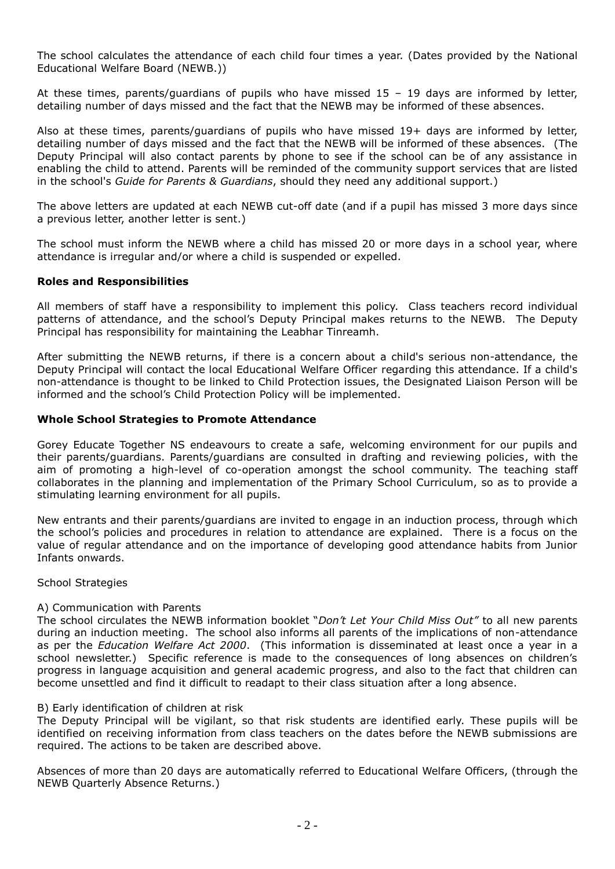The school calculates the attendance of each child four times a year. (Dates provided by the National Educational Welfare Board (NEWB.))

At these times, parents/guardians of pupils who have missed 15 – 19 days are informed by letter, detailing number of days missed and the fact that the NEWB may be informed of these absences.

Also at these times, parents/guardians of pupils who have missed 19+ days are informed by letter, detailing number of days missed and the fact that the NEWB will be informed of these absences. (The Deputy Principal will also contact parents by phone to see if the school can be of any assistance in enabling the child to attend. Parents will be reminded of the community support services that are listed in the school's *Guide for Parents & Guardians*, should they need any additional support.)

The above letters are updated at each NEWB cut-off date (and if a pupil has missed 3 more days since a previous letter, another letter is sent.)

The school must inform the NEWB where a child has missed 20 or more days in a school year, where attendance is irregular and/or where a child is suspended or expelled.

# **Roles and Responsibilities**

All members of staff have a responsibility to implement this policy. Class teachers record individual patterns of attendance, and the school's Deputy Principal makes returns to the NEWB. The Deputy Principal has responsibility for maintaining the Leabhar Tinreamh.

After submitting the NEWB returns, if there is a concern about a child's serious non-attendance, the Deputy Principal will contact the local Educational Welfare Officer regarding this attendance. If a child's non-attendance is thought to be linked to Child Protection issues, the Designated Liaison Person will be informed and the school's Child Protection Policy will be implemented.

# **Whole School Strategies to Promote Attendance**

Gorey Educate Together NS endeavours to create a safe, welcoming environment for our pupils and their parents/guardians. Parents/guardians are consulted in drafting and reviewing policies, with the aim of promoting a high-level of co-operation amongst the school community. The teaching staff collaborates in the planning and implementation of the Primary School Curriculum, so as to provide a stimulating learning environment for all pupils.

New entrants and their parents/guardians are invited to engage in an induction process, through which the school's policies and procedures in relation to attendance are explained. There is a focus on the value of regular attendance and on the importance of developing good attendance habits from Junior Infants onwards.

School Strategies

#### A) Communication with Parents

The school circulates the NEWB information booklet "*Don't Let Your Child Miss Out"* to all new parents during an induction meeting. The school also informs all parents of the implications of non-attendance as per the *Education Welfare Act 2000*. (This information is disseminated at least once a year in a school newsletter.) Specific reference is made to the consequences of long absences on children's progress in language acquisition and general academic progress, and also to the fact that children can become unsettled and find it difficult to readapt to their class situation after a long absence.

#### B) Early identification of children at risk

The Deputy Principal will be vigilant, so that risk students are identified early. These pupils will be identified on receiving information from class teachers on the dates before the NEWB submissions are required. The actions to be taken are described above.

Absences of more than 20 days are automatically referred to Educational Welfare Officers, (through the NEWB Quarterly Absence Returns.)